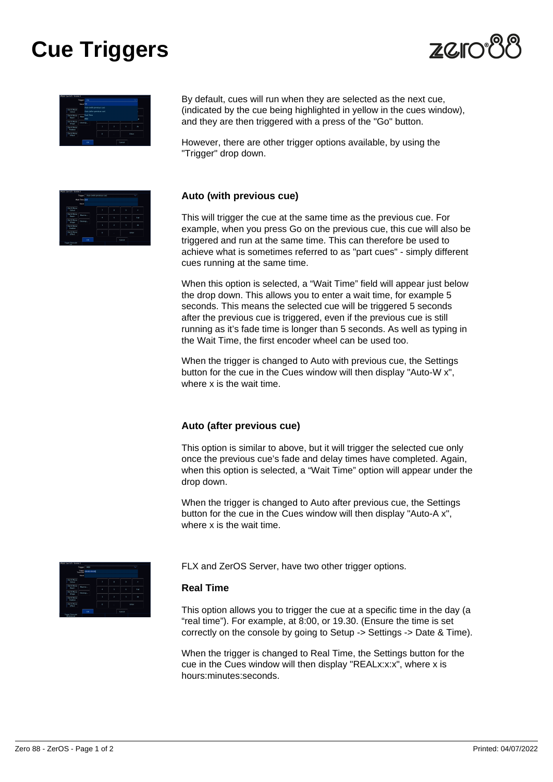# **Cue Triggers**



| Trigger                                              |          | $^{66}$                                                                   | ŵ     |   |           |           |
|------------------------------------------------------|----------|---------------------------------------------------------------------------|-------|---|-----------|-----------|
|                                                      | Nast On  |                                                                           |       |   |           |           |
| <b>DeemMark</b><br><b>Golour</b><br><b>Been Move</b> |          | Acto (with province coo)<br>ALCO SYSCE providers cue)<br><b>Real Time</b> | š     |   |           |           |
| <b>Beam</b>                                          | More     | MD                                                                        | ٠     |   |           |           |
| <b>Don't Move</b><br>Shape                           | Georgia. |                                                                           |       |   |           |           |
| <b>Dent Move</b><br><b>Position</b>                  |          |                                                                           | ī     | z | $\lambda$ | $\lambda$ |
| <b>Dent Myw</b><br>Erect                             |          |                                                                           | trees |   |           |           |
|                                                      |          | ox.                                                                       |       |   | Cancel    |           |

By default, cues will run when they are selected as the next cue, (indicated by the cue being highlighted in yellow in the cues window), and they are then triggered with a press of the "Go" button.

However, there are other trigger options available, by using the "Trigger" drop down.

| FDX 0.0-0.5 - Scene 2              |               |                    |        |           |            |  |  |  |
|------------------------------------|---------------|--------------------|--------|-----------|------------|--|--|--|
| Trigger Auto Iwith province cost   |               | $\scriptstyle\sim$ |        |           |            |  |  |  |
|                                    | wat Time D.O. |                    |        |           |            |  |  |  |
|                                    | Next          |                    |        |           |            |  |  |  |
| <b>Deen Maye</b><br>Colour         |               | Ÿ                  | Ř      | Ň,        | ×          |  |  |  |
| Don't Maye<br>Geam                 | Macros        | ٠                  | 5      | ø         | <b>Dul</b> |  |  |  |
| Dent Move<br>Shipe                 | Ocerage.      |                    |        |           |            |  |  |  |
| <b>Dent Mayo</b><br><b>Postkin</b> |               | ī                  | ø      | $\lambda$ | $\lambda$  |  |  |  |
| <b>Dent Myw</b><br><b>EFECT</b>    |               | ō                  | ×      |           | Eriter     |  |  |  |
|                                    | <b>OK</b>     |                    | Cancel |           |            |  |  |  |
| <b>Trager Timestake</b><br>Y5      |               |                    |        |           |            |  |  |  |

## **Auto (with previous cue)**

This will trigger the cue at the same time as the previous cue. For example, when you press Go on the previous cue, this cue will also be triggered and run at the same time. This can therefore be used to achieve what is sometimes referred to as "part cues" - simply different cues running at the same time.

When this option is selected, a "Wait Time" field will appear just below the drop down. This allows you to enter a wait time, for example 5 seconds. This means the selected cue will be triggered 5 seconds after the previous cue is triggered, even if the previous cue is still running as it's fade time is longer than 5 seconds. As well as typing in the Wait Time, the first encoder wheel can be used too.

When the trigger is changed to Auto with previous cue, the Settings button for the cue in the Cues window will then display "Auto-W x", where x is the wait time.

#### **Auto (after previous cue)**

This option is similar to above, but it will trigger the selected cue only once the previous cue's fade and delay times have completed. Again, when this option is selected, a "Wait Time" option will appear under the drop down.

When the trigger is changed to Auto after previous cue, the Settings button for the cue in the Cues window will then display "Auto-A x", where x is the wait time.



FLX and ZerOS Server, have two other trigger options.

#### **Real Time**

This option allows you to trigger the cue at a specific time in the day (a "real time"). For example, at 8:00, or 19.30. (Ensure the time is set correctly on the console by going to Setup -> Settings -> Date & Time).

When the trigger is changed to Real Time, the Settings button for the cue in the Cues window will then display "REALx:x:x", where x is hours:minutes:seconds.